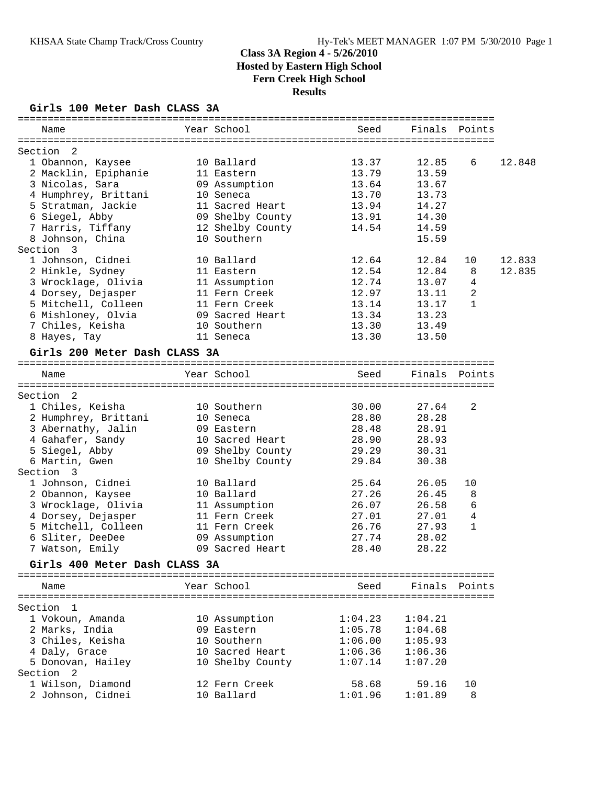#### **Girls 100 Meter Dash CLASS 3A**

| Name                           | Year School                     | Seed    | Finals  | Points         |        |
|--------------------------------|---------------------------------|---------|---------|----------------|--------|
|                                |                                 |         |         |                |        |
| Section 2<br>1 Obannon, Kaysee | 10 Ballard                      | 13.37   | 12.85   | 6              | 12.848 |
| 2 Macklin, Epiphanie           | 11 Eastern                      | 13.79   | 13.59   |                |        |
| 3 Nicolas, Sara                | 09 Assumption                   | 13.64   | 13.67   |                |        |
| 4 Humphrey, Brittani           | 10 Seneca                       | 13.70   | 13.73   |                |        |
| 5 Stratman, Jackie             | 11 Sacred Heart                 | 13.94   | 14.27   |                |        |
|                                |                                 |         | 14.30   |                |        |
| 6 Siegel, Abby                 | 09 Shelby County                | 13.91   |         |                |        |
| 7 Harris, Tiffany              | 12 Shelby County<br>10 Southern | 14.54   | 14.59   |                |        |
| 8 Johnson, China               |                                 |         | 15.59   |                |        |
| Section 3                      |                                 |         |         |                |        |
| 1 Johnson, Cidnei              | 10 Ballard                      | 12.64   | 12.84   | 10             | 12.833 |
| 2 Hinkle, Sydney               | 11 Eastern                      | 12.54   | 12.84   | 8              | 12.835 |
| 3 Wrocklage, Olivia            | 11 Assumption                   | 12.74   | 13.07   | $\overline{4}$ |        |
| 4 Dorsey, Dejasper             | 11 Fern Creek                   | 12.97   | 13.11   | $\overline{a}$ |        |
| 5 Mitchell, Colleen            | 11 Fern Creek                   | 13.14   | 13.17   | $\mathbf{1}$   |        |
| 6 Mishloney, Olvia             | 09 Sacred Heart                 | 13.34   | 13.23   |                |        |
| 7 Chiles, Keisha               | 10 Southern                     | 13.30   | 13.49   |                |        |
| 8 Hayes, Tay                   | 11 Seneca                       | 13.30   | 13.50   |                |        |
| Girls 200 Meter Dash CLASS 3A  |                                 |         |         |                |        |
|                                |                                 |         |         |                |        |
| Name                           | Year School                     | Seed    | Finals  | Points         |        |
| Section <sub>2</sub>           |                                 |         |         |                |        |
| 1 Chiles, Keisha               | 10 Southern                     | 30.00   | 27.64   | 2              |        |
| 2 Humphrey, Brittani           | 10 Seneca                       | 28.80   | 28.28   |                |        |
| 3 Abernathy, Jalin             | 09 Eastern                      | 28.48   | 28.91   |                |        |
| 4 Gahafer, Sandy               | 10 Sacred Heart                 | 28.90   | 28.93   |                |        |
| 5 Siegel, Abby                 | 09 Shelby County                | 29.29   | 30.31   |                |        |
| 6 Martin, Gwen                 | 10 Shelby County                | 29.84   | 30.38   |                |        |
| Section 3                      |                                 |         |         |                |        |
| 1 Johnson, Cidnei              | 10 Ballard                      | 25.64   | 26.05   | 10             |        |
| 2 Obannon, Kaysee              | 10 Ballard                      | 27.26   | 26.45   | 8              |        |
| 3 Wrocklage, Olivia            | 11 Assumption                   | 26.07   | 26.58   | 6              |        |
| 4 Dorsey, Dejasper             | 11 Fern Creek                   | 27.01   | 27.01   | 4              |        |
| 5 Mitchell, Colleen            | 11 Fern Creek                   | 26.76   | 27.93   | 1              |        |
| 6 Sliter, DeeDee               | 09 Assumption                   | 27.74   | 28.02   |                |        |
| 7 Watson, Emily                | 09 Sacred Heart                 | 28.40   | 28.22   |                |        |
|                                |                                 |         |         |                |        |
| Girls 400 Meter Dash CLASS 3A  |                                 |         |         |                |        |
| Name                           | Year School                     | Seed    |         | Finals Points  |        |
|                                |                                 |         |         |                |        |
| Section 1                      |                                 |         |         |                |        |
| 1 Vokoun, Amanda               | 10 Assumption                   | 1:04.23 | 1:04.21 |                |        |
| 2 Marks, India                 | 09 Eastern                      | 1:05.78 | 1:04.68 |                |        |
| 3 Chiles, Keisha               | 10 Southern                     | 1:06.00 | 1:05.93 |                |        |
| 4 Daly, Grace                  | 10 Sacred Heart                 | 1:06.36 | 1:06.36 |                |        |
| 5 Donovan, Hailey              | 10 Shelby County                | 1:07.14 | 1:07.20 |                |        |
| Section <sub>2</sub>           |                                 |         |         |                |        |
| 1 Wilson, Diamond              | 12 Fern Creek                   | 58.68   | 59.16   | 10             |        |
| 2 Johnson, Cidnei              | 10 Ballard                      | 1:01.96 | 1:01.89 | 8              |        |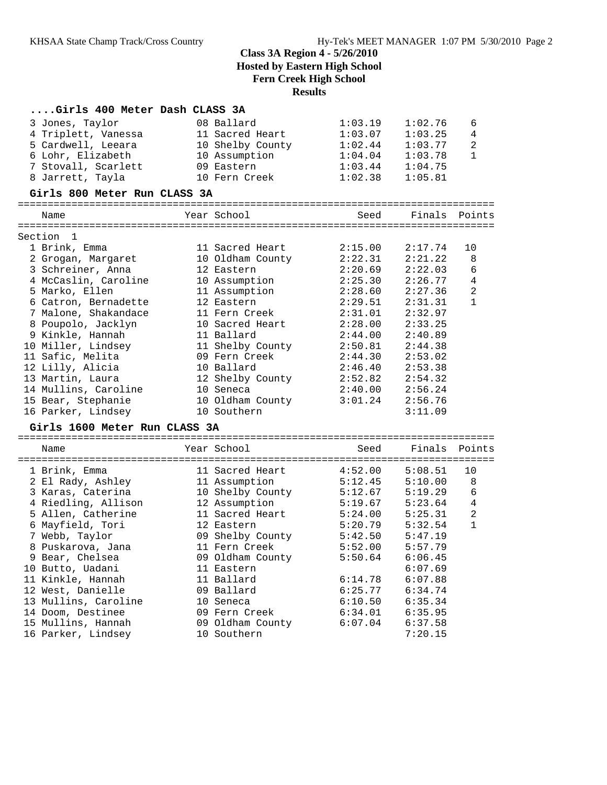| Girls 400 Meter Dash CLASS 3A |                  |         |               |                               |
|-------------------------------|------------------|---------|---------------|-------------------------------|
| 3 Jones, Taylor               | 08 Ballard       | 1:03.19 | 1:02.76       | 6                             |
| 4 Triplett, Vanessa           | 11 Sacred Heart  | 1:03.07 | 1:03.25       | 4                             |
| 5 Cardwell, Leeara            | 10 Shelby County | 1:02.44 | 1:03.77       | $\overline{2}$                |
| 6 Lohr, Elizabeth             | 10 Assumption    | 1:04.04 | 1:03.78       | $\mathbf{1}$                  |
|                               | 09 Eastern       | 1:03.44 |               |                               |
| 7 Stovall, Scarlett           |                  |         | 1:04.75       |                               |
| 8 Jarrett, Tayla              | 10 Fern Creek    | 1:02.38 | 1:05.81       |                               |
| Girls 800 Meter Run CLASS 3A  |                  |         |               |                               |
| Name                          | Year School      | Seed    | Finals Points |                               |
|                               |                  |         |               |                               |
| Section 1                     |                  |         |               |                               |
| 1 Brink, Emma                 | 11 Sacred Heart  | 2:15.00 | 2:17.74       | 10                            |
| 2 Grogan, Margaret            | 10 Oldham County | 2:22.31 | 2:21.22       | 8                             |
| 3 Schreiner, Anna             | 12 Eastern       | 2:20.69 | 2:22.03       | 6                             |
| 4 McCaslin, Caroline          | 10 Assumption    | 2:25.30 | 2:26.77       | $\overline{4}$                |
| 5 Marko, Ellen                | 11 Assumption    | 2:28.60 | 2:27.36       | 2                             |
| 6 Catron, Bernadette          | 12 Eastern       | 2:29.51 | 2:31.31       | $\mathbf{1}$                  |
| 7 Malone, Shakandace          | 11 Fern Creek    | 2:31.01 | 2:32.97       |                               |
| 8 Poupolo, Jacklyn            | 10 Sacred Heart  | 2:28.00 | 2:33.25       |                               |
| 9 Kinkle, Hannah              | 11 Ballard       | 2:44.00 | 2:40.89       |                               |
| 10 Miller, Lindsey            | 11 Shelby County | 2:50.81 | 2:44.38       |                               |
| 11 Safic, Melita              | 09 Fern Creek    | 2:44.30 | 2:53.02       |                               |
| 12 Lilly, Alicia              | 10 Ballard       | 2:46.40 | 2:53.38       |                               |
| 13 Martin, Laura              | 12 Shelby County | 2:52.82 | 2:54.32       |                               |
| 14 Mullins, Caroline          | 10 Seneca        | 2:40.00 | 2:56.24       |                               |
| 15 Bear, Stephanie            | 10 Oldham County | 3:01.24 | 2:56.76       |                               |
| 16 Parker, Lindsey            | 10 Southern      |         | 3:11.09       |                               |
| Girls 1600 Meter Run CLASS 3A |                  |         |               |                               |
|                               |                  |         |               |                               |
| Name                          | Year School      | Seed    | Finals        | Points                        |
| 1 Brink, Emma                 | 11 Sacred Heart  | 4:52.00 | 5:08.51       | 10                            |
| 2 El Rady, Ashley             | 11 Assumption    | 5:12.45 | 5:10.00       | 8                             |
| 3 Karas, Caterina             | 10 Shelby County | 5:12.67 | 5:19.29       | 6                             |
| 4 Riedling, Allison           |                  |         | 5:23.64       | 4                             |
|                               | 12 Assumption    | 5:19.67 |               |                               |
| 5 Allen, Catherine            | 11 Sacred Heart  | 5:24.00 | 5:25.31       | $\overline{c}$<br>$\mathbf 1$ |
| 6 Mayfield, Tori              | 12 Eastern       | 5:20.79 | 5:32.54       |                               |
| 7 Webb, Taylor                | 09 Shelby County | 5:42.50 | 5:47.19       |                               |
| 8 Puskarova, Jana             | 11 Fern Creek    | 5:52.00 | 5:57.79       |                               |
| 9 Bear, Chelsea               | 09 Oldham County | 5:50.64 | 6:06.45       |                               |
| 10 Butto, Uadani              | 11 Eastern       |         | 6:07.69       |                               |
| 11 Kinkle, Hannah             | 11 Ballard       | 6:14.78 | 6:07.88       |                               |
| 12 West, Danielle             | 09 Ballard       | 6:25.77 | 6:34.74       |                               |
| 13 Mullins, Caroline          | 10 Seneca        | 6:10.50 | 6:35.34       |                               |
| 14 Doom, Destinee             | 09 Fern Creek    | 6:34.01 | 6:35.95       |                               |
| 15 Mullins, Hannah            | 09 Oldham County | 6:07.04 | 6:37.58       |                               |
| 16 Parker, Lindsey            | 10 Southern      |         | 7:20.15       |                               |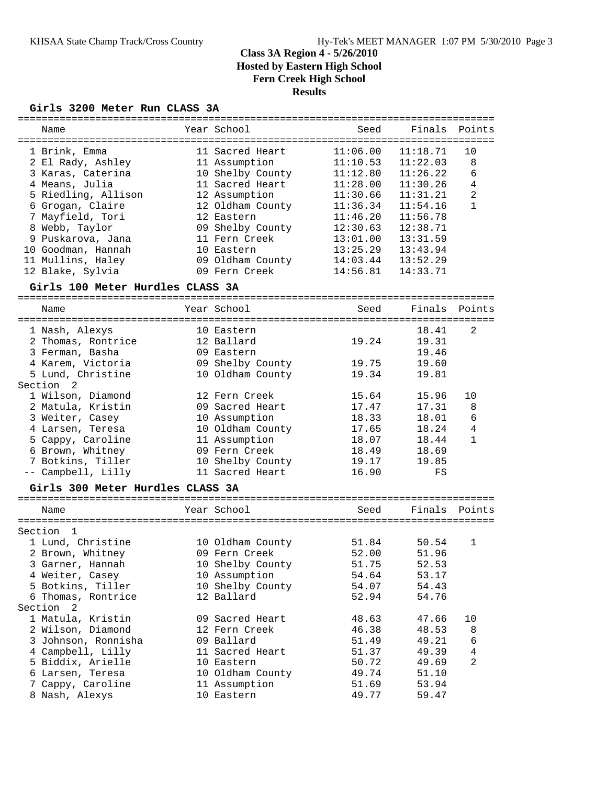#### **Girls 3200 Meter Run CLASS 3A**

| Name                             | Year School      | Seed     | Finals   | Points         |
|----------------------------------|------------------|----------|----------|----------------|
|                                  |                  |          |          |                |
| 1 Brink, Emma                    | 11 Sacred Heart  | 11:06.00 | 11:18.71 | 10             |
| 2 El Rady, Ashley                | 11 Assumption    | 11:10.53 | 11:22.03 | 8              |
| 3 Karas, Caterina                | 10 Shelby County | 11:12.80 | 11:26.22 | 6              |
| 4 Means, Julia                   | 11 Sacred Heart  | 11:28.00 | 11:30.26 | 4              |
| 5 Riedling, Allison              | 12 Assumption    | 11:30.66 | 11:31.21 | 2              |
| 6 Grogan, Claire                 | 12 Oldham County | 11:36.34 | 11:54.16 | $\mathbf{1}$   |
| 7 Mayfield, Tori                 | 12 Eastern       | 11:46.20 | 11:56.78 |                |
| 8 Webb, Taylor                   | 09 Shelby County | 12:30.63 | 12:38.71 |                |
| 9 Puskarova, Jana                | 11 Fern Creek    | 13:01.00 | 13:31.59 |                |
| 10 Goodman, Hannah               | 10 Eastern       | 13:25.29 | 13:43.94 |                |
|                                  |                  |          |          |                |
| 11 Mullins, Haley                | 09 Oldham County | 14:03.44 | 13:52.29 |                |
| 12 Blake, Sylvia                 | 09 Fern Creek    | 14:56.81 | 14:33.71 |                |
| Girls 100 Meter Hurdles CLASS 3A |                  |          |          |                |
| Name                             | Year School      | Seed     | Finals   | Points         |
|                                  |                  |          |          |                |
| 1 Nash, Alexys                   | 10 Eastern       |          | 18.41    | 2              |
| 2 Thomas, Rontrice               | 12 Ballard       | 19.24    | 19.31    |                |
| 3 Ferman, Basha                  | 09 Eastern       |          | 19.46    |                |
| 4 Karem, Victoria                | 09 Shelby County | 19.75    | 19.60    |                |
| 5 Lund, Christine                | 10 Oldham County | 19.34    | 19.81    |                |
| Section <sub>2</sub>             |                  |          |          |                |
| 1 Wilson, Diamond                | 12 Fern Creek    | 15.64    | 15.96    | 10             |
| 2 Matula, Kristin                | 09 Sacred Heart  | 17.47    | 17.31    | 8              |
| 3 Weiter, Casey                  | 10 Assumption    | 18.33    | 18.01    | 6              |
| 4 Larsen, Teresa                 | 10 Oldham County | 17.65    | 18.24    | 4              |
| 5 Cappy, Caroline                | 11 Assumption    | 18.07    | 18.44    | $\mathbf{1}$   |
| 6 Brown, Whitney                 | 09 Fern Creek    | 18.49    | 18.69    |                |
|                                  |                  |          |          |                |
| 7 Botkins, Tiller                | 10 Shelby County | 19.17    | 19.85    |                |
| -- Campbell, Lilly               | 11 Sacred Heart  | 16.90    | FS       |                |
| Girls 300 Meter Hurdles CLASS 3A |                  |          |          |                |
| Name                             | Year School      | Seed     | Finals   | Points         |
|                                  |                  |          |          |                |
| Section<br>-1                    |                  |          |          |                |
| 1 Lund, Christine                | 10 Oldham County | 51.84    | 50.54    | 1              |
| 2 Brown, Whitney                 | 09 Fern Creek    | 52.00    | 51.96    |                |
| 3 Garner, Hannah                 | 10 Shelby County | 51.75    | 52.53    |                |
| 4 Weiter, Casey                  | 10 Assumption    | 54.64    | 53.17    |                |
| 5 Botkins, Tiller                | 10 Shelby County | 54.07    | 54.43    |                |
| 6 Thomas, Rontrice               | 12 Ballard       | 52.94    | 54.76    |                |
| Section 2                        |                  |          |          |                |
| 1 Matula, Kristin                | 09 Sacred Heart  | 48.63    | 47.66    | 10             |
| 2 Wilson, Diamond                | 12 Fern Creek    | 46.38    | 48.53    | 8              |
| 3 Johnson, Ronnisha              | 09 Ballard       | 51.49    | 49.21    | 6              |
| 4 Campbell, Lilly                | 11 Sacred Heart  | 51.37    | 49.39    | $\overline{4}$ |
| 5 Biddix, Arielle                | 10 Eastern       | 50.72    |          | 2              |
|                                  |                  |          | 49.69    |                |
| 6 Larsen, Teresa                 | 10 Oldham County | 49.74    | 51.10    |                |
| 7 Cappy, Caroline                | 11 Assumption    | 51.69    | 53.94    |                |
| 8 Nash, Alexys                   | 10 Eastern       | 49.77    | 59.47    |                |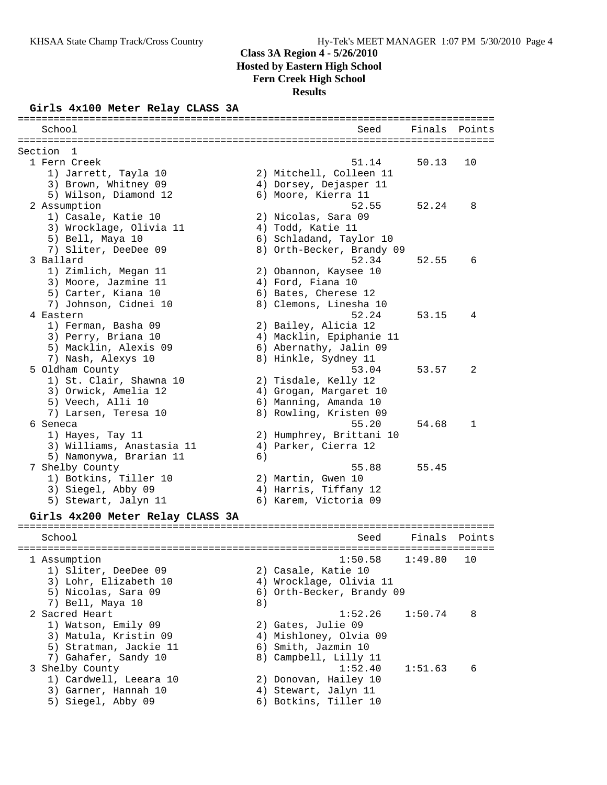#### **Girls 4x100 Meter Relay CLASS 3A**

| ===================<br>School            |    | Seed                      | Finals  | Points       |
|------------------------------------------|----|---------------------------|---------|--------------|
| Section<br>1                             |    |                           |         |              |
| 1 Fern Creek                             |    | 51.14                     | 50.13   | 10           |
| 1) Jarrett, Tayla 10                     |    | 2) Mitchell, Colleen 11   |         |              |
| 3) Brown, Whitney 09                     |    | 4) Dorsey, Dejasper 11    |         |              |
| 5) Wilson, Diamond 12                    |    | 6) Moore, Kierra 11       |         |              |
| 2 Assumption                             |    | 52.55                     | 52.24   | 8            |
| 1) Casale, Katie 10                      |    | 2) Nicolas, Sara 09       |         |              |
| 3) Wrocklage, Olivia 11                  |    | 4) Todd, Katie 11         |         |              |
| 5) Bell, Maya 10                         |    | 6) Schladand, Taylor 10   |         |              |
| 7) Sliter, DeeDee 09                     |    | 8) Orth-Becker, Brandy 09 |         |              |
| 3 Ballard                                |    | 52.34                     | 52.55   | 6            |
| 1) Zimlich, Megan 11                     |    | 2) Obannon, Kaysee 10     |         |              |
| 3) Moore, Jazmine 11                     |    | 4) Ford, Fiana 10         |         |              |
| 5) Carter, Kiana 10                      |    | 6) Bates, Cherese 12      |         |              |
| 7) Johnson, Cidnei 10                    |    | 8) Clemons, Linesha 10    |         |              |
| 4 Eastern                                |    | 52.24                     | 53.15   | 4            |
| 1) Ferman, Basha 09                      |    | 2) Bailey, Alicia 12      |         |              |
| 3) Perry, Briana 10                      |    | 4) Macklin, Epiphanie 11  |         |              |
| 5) Macklin, Alexis 09                    |    | 6) Abernathy, Jalin 09    |         |              |
| 7) Nash, Alexys 10                       |    | 8) Hinkle, Sydney 11      |         |              |
| 5 Oldham County                          |    | 53.04                     | 53.57   | 2            |
| 1) St. Clair, Shawna 10                  |    | 2) Tisdale, Kelly 12      |         |              |
| 3) Orwick, Amelia 12                     |    | 4) Grogan, Margaret 10    |         |              |
| 5) Veech, Alli 10                        |    | 6) Manning, Amanda 10     |         |              |
| 7) Larsen, Teresa 10                     |    | 8) Rowling, Kristen 09    |         |              |
| 6 Seneca                                 |    | 55.20                     | 54.68   | $\mathbf{1}$ |
| 1) Hayes, Tay 11                         |    | 2) Humphrey, Brittani 10  |         |              |
| 3) Williams, Anastasia 11                |    | 4) Parker, Cierra 12      |         |              |
| 5) Namonywa, Brarian 11                  | 6) | 55.88                     | 55.45   |              |
| 7 Shelby County<br>1) Botkins, Tiller 10 |    | 2) Martin, Gwen 10        |         |              |
| 3) Siegel, Abby 09                       |    | 4) Harris, Tiffany 12     |         |              |
| 5) Stewart, Jalyn 11                     |    | 6) Karem, Victoria 09     |         |              |
|                                          |    |                           |         |              |
| Girls 4x200 Meter Relay CLASS 3A         |    |                           |         |              |
| School                                   |    | Seed                      | Finals  | Points       |
|                                          |    |                           |         |              |
| 1 Assumption                             |    | 1:50.58                   | 1:49.80 | 10           |
| 1) Sliter, DeeDee 09                     |    | 2) Casale, Katie 10       |         |              |
| 3) Lohr, Elizabeth 10                    |    | 4) Wrocklage, Olivia 11   |         |              |
| 5) Nicolas, Sara 09                      |    | 6) Orth-Becker, Brandy 09 |         |              |
| 7) Bell, Maya 10                         | 8) |                           |         |              |
| 2 Sacred Heart                           |    | 1:52.26                   | 1:50.74 | 8            |
| 1) Watson, Emily 09                      |    | 2) Gates, Julie 09        |         |              |
| 3) Matula, Kristin 09                    |    | 4) Mishloney, Olvia 09    |         |              |
| 5) Stratman, Jackie 11                   |    | 6) Smith, Jazmin 10       |         |              |
| 7) Gahafer, Sandy 10                     |    | 8) Campbell, Lilly 11     |         |              |
| 3 Shelby County                          |    | 1:52.40                   | 1:51.63 | 6            |
| 1) Cardwell, Leeara 10                   |    | 2) Donovan, Hailey 10     |         |              |
| 3) Garner, Hannah 10                     |    | 4) Stewart, Jalyn 11      |         |              |
| 5) Siegel, Abby 09                       |    | 6) Botkins, Tiller 10     |         |              |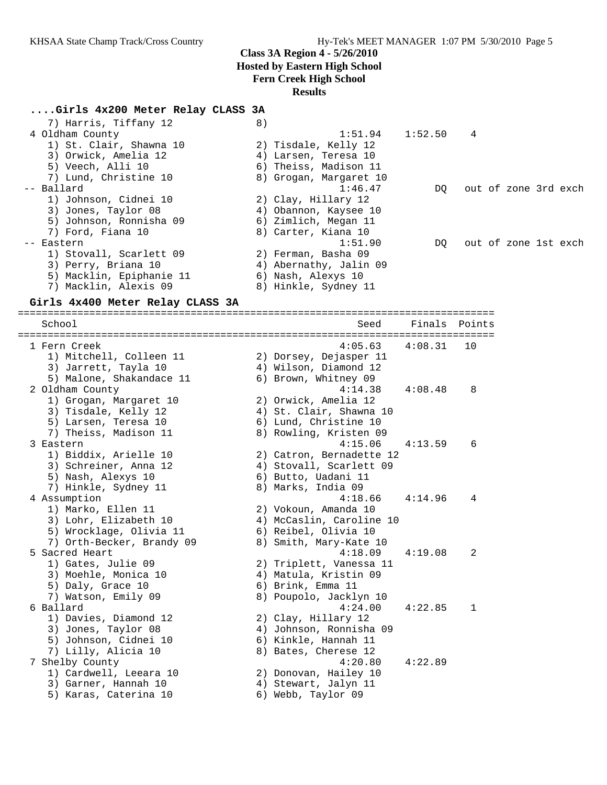#### **....Girls 4x200 Meter Relay CLASS 3A**

| 7) Harris, Tiffany 12    | 8) |                        |                     |                      |  |  |
|--------------------------|----|------------------------|---------------------|----------------------|--|--|
| 4 Oldham County          |    |                        | $1:51.94$ $1:52.50$ | 4                    |  |  |
| 1) St. Clair, Shawna 10  |    | 2) Tisdale, Kelly 12   |                     |                      |  |  |
| 3) Orwick, Amelia 12     |    | 4) Larsen, Teresa 10   |                     |                      |  |  |
| 5) Veech, Alli 10        |    | 6) Theiss, Madison 11  |                     |                      |  |  |
| 7) Lund, Christine 10    |    | 8) Grogan, Margaret 10 |                     |                      |  |  |
| -- Ballard               |    | 1:46.47                | DO                  | out of zone 3rd exch |  |  |
| 1) Johnson, Cidnei 10    |    | 2) Clay, Hillary 12    |                     |                      |  |  |
| 3) Jones, Taylor 08      |    | 4) Obannon, Kaysee 10  |                     |                      |  |  |
| 5) Johnson, Ronnisha 09  |    | 6) Zimlich, Megan 11   |                     |                      |  |  |
| 7) Ford, Fiana 10        |    | 8) Carter, Kiana 10    |                     |                      |  |  |
| -- Eastern               |    | 1:51.90                | DO                  | out of zone 1st exch |  |  |
| 1) Stovall, Scarlett 09  |    | 2) Ferman, Basha 09    |                     |                      |  |  |
| 3) Perry, Briana 10      |    | 4) Abernathy, Jalin 09 |                     |                      |  |  |
| 5) Macklin, Epiphanie 11 |    | 6) Nash, Alexys 10     |                     |                      |  |  |
| 7) Macklin, Alexis 09    | 8) | Hinkle, Sydney 11 ا    |                     |                      |  |  |
|                          |    |                        |                     |                      |  |  |

#### **Girls 4x400 Meter Relay CLASS 3A**

================================================================================ School Seed Finals Points ================================================================================ 1 Fern Creek 4:05.63 4:08.31 10 1) Mitchell, Colleen 11 2) Dorsey, Dejasper 11 3) Jarrett, Tayla 10 4) Wilson, Diamond 12 5) Malone, Shakandace 11 6) Brown, Whitney 09 2 Oldham County 4:14.38 4:08.48 8 1) Grogan, Margaret 10 2) Orwick, Amelia 12 3) Tisdale, Kelly 12 4) St. Clair, Shawna 10 5) Larsen, Teresa 10 6) Lund, Christine 10 7) Theiss, Madison 11 8) Rowling, Kristen 09 3 Eastern 4:15.06 4:13.59 6 1) Biddix, Arielle 10 2) Catron, Bernadette 12 3) Schreiner, Anna 12 4) Stovall, Scarlett 09 5) Nash, Alexys 10 (6) Butto, Uadani 11 7) Hinkle, Sydney 11 and 8) Marks, India 09 4 Assumption 4:18.66 4:14.96 4 1) Marko, Ellen 11 2) Vokoun, Amanda 10 3) Lohr, Elizabeth 10 4) McCaslin, Caroline 10 5) Wrocklage, Olivia 11 6) Reibel, Olivia 10 7) Orth-Becker, Brandy 09 8) Smith, Mary-Kate 10 5 Sacred Heart 4:18.09 4:19.08 2 1) Gates, Julie 09 2) Triplett, Vanessa 11 3) Moehle, Monica 10 4) Matula, Kristin 09 5) Daly, Grace 10 6) Brink, Emma 11 7) Watson, Emily 09 8) Poupolo, Jacklyn 10 6 Ballard 4:24.00 4:22.85 1 1) Davies, Diamond 12 2) Clay, Hillary 12 3) Jones, Taylor 08 4) Johnson, Ronnisha 09 5) Johnson, Cidnei 10 6) Kinkle, Hannah 11 7) Lilly, Alicia 10 8) Bates, Cherese 12 7 Shelby County 4:20.80 4:22.89 1) Cardwell, Leeara 10 2) Donovan, Hailey 10 3) Garner, Hannah 10  $\hskip1cm \hskip1cm 4$ ) Stewart, Jalyn 11 5) Karas, Caterina 10 6) Webb, Taylor 09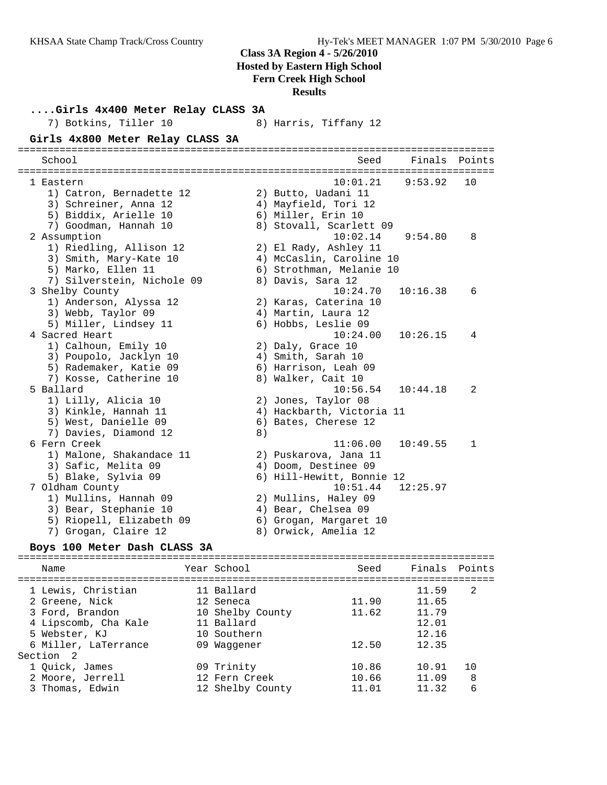| Girls 4x400 Meter Relay CLASS 3A<br>7) Botkins, Tiller 10 |    | 8) Harris, Tiffany 12                      |          |              |
|-----------------------------------------------------------|----|--------------------------------------------|----------|--------------|
| Girls 4x800 Meter Relay CLASS 3A                          |    |                                            |          |              |
| School                                                    |    | Seed                                       | Finals   | Points       |
| 1 Eastern                                                 |    | 10:01.21                                   | 9:53.92  | 10           |
| 1) Catron, Bernadette 12                                  |    | 2) Butto, Uadani 11                        |          |              |
| 3) Schreiner, Anna 12<br>5) Biddix, Arielle 10            |    | 4) Mayfield, Tori 12<br>6) Miller, Erin 10 |          |              |
| 7) Goodman, Hannah 10                                     |    | 8) Stovall, Scarlett 09                    |          |              |
| 2 Assumption                                              |    | 10:02.14                                   | 9:54.80  | 8            |
| 1) Riedling, Allison 12                                   |    | 2) El Rady, Ashley 11                      |          |              |
| 3) Smith, Mary-Kate 10                                    |    | 4) McCaslin, Caroline 10                   |          |              |
| 5) Marko, Ellen 11                                        |    | 6) Strothman, Melanie 10                   |          |              |
| 7) Silverstein, Nichole 09                                |    | 8) Davis, Sara 12                          |          |              |
| 3 Shelby County                                           |    | 10:24.70                                   | 10:16.38 | 6            |
| 1) Anderson, Alyssa 12                                    |    | 2) Karas, Caterina 10                      |          |              |
| 3) Webb, Taylor 09                                        |    | 4) Martin, Laura 12                        |          |              |
| 5) Miller, Lindsey 11                                     |    | 6) Hobbs, Leslie 09                        |          |              |
| 4 Sacred Heart<br>1) Calhoun, Emily 10                    |    | 10:24.00                                   | 10:26.15 | 4            |
| 3) Poupolo, Jacklyn 10                                    |    | 2) Daly, Grace 10<br>4) Smith, Sarah 10    |          |              |
| 5) Rademaker, Katie 09                                    |    | 6) Harrison, Leah 09                       |          |              |
| 7) Kosse, Catherine 10                                    |    | 8) Walker, Cait 10                         |          |              |
| 5 Ballard                                                 |    | 10:56.54                                   | 10:44.18 | 2            |
| 1) Lilly, Alicia 10                                       |    | 2) Jones, Taylor 08                        |          |              |
| 3) Kinkle, Hannah 11                                      |    | 4) Hackbarth, Victoria 11                  |          |              |
| 5) West, Danielle 09                                      |    | 6) Bates, Cherese 12                       |          |              |
| 7) Davies, Diamond 12                                     | 8) |                                            |          |              |
| 6 Fern Creek                                              |    | 11:06.00                                   | 10:49.55 | $\mathbf{1}$ |
| 1) Malone, Shakandace 11                                  |    | 2) Puskarova, Jana 11                      |          |              |
| 3) Safic, Melita 09                                       |    | 4) Doom, Destinee 09                       |          |              |
| 5) Blake, Sylvia 09                                       |    | 6) Hill-Hewitt, Bonnie 12<br>10:51.44      | 12:25.97 |              |
| 7 Oldham County<br>1) Mullins, Hannah 09                  |    | 2) Mullins, Haley 09                       |          |              |
| 3) Bear, Stephanie 10                                     |    | 4) Bear, Chelsea 09                        |          |              |
| 5) Riopell, Elizabeth 09                                  |    | 6) Grogan, Margaret 10                     |          |              |
| 7) Grogan, Claire 12                                      |    | 8) Orwick, Amelia 12                       |          |              |
|                                                           |    |                                            |          |              |

# **Boys 100 Meter Dash CLASS 3A**

| Name                                                                                                                     | Year School                                                                             | Seed                    | Finals Points                                      |              |
|--------------------------------------------------------------------------------------------------------------------------|-----------------------------------------------------------------------------------------|-------------------------|----------------------------------------------------|--------------|
| 1 Lewis, Christian<br>2 Greene, Nick<br>3 Ford, Brandon<br>4 Lipscomb, Cha Kale<br>5 Webster, KJ<br>6 Miller, LaTerrance | 11 Ballard<br>12 Seneca<br>10 Shelby County<br>11 Ballard<br>10 Southern<br>09 Waqqener | 11.90<br>11.62<br>12.50 | 11.59<br>11.65<br>11.79<br>12.01<br>12.16<br>12.35 | 2            |
| Section 2<br>1 Ouick, James<br>2 Moore, Jerrell<br>3 Thomas, Edwin                                                       | 09 Trinity<br>12 Fern Creek<br>12 Shelby County                                         | 10.86<br>10.66<br>11.01 | 10.91<br>11.09<br>11.32                            | 10<br>8<br>6 |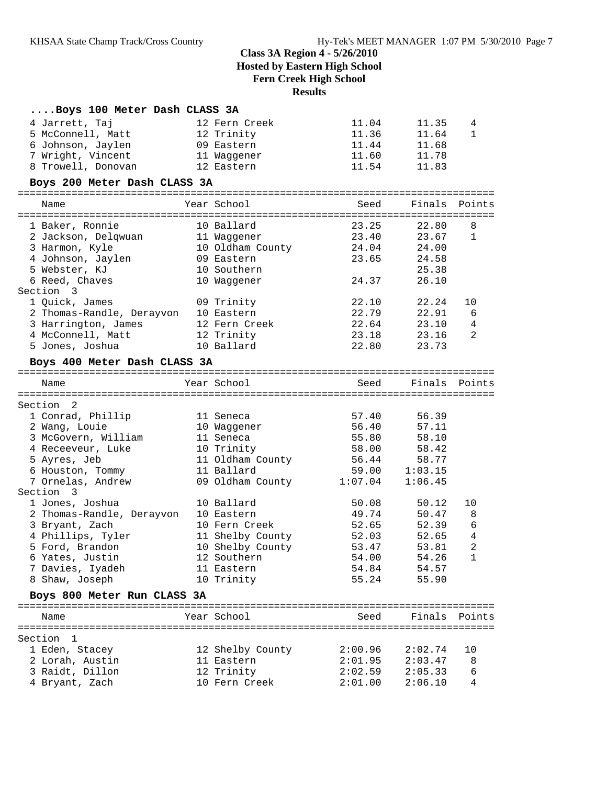| Boys 100 Meter Dash CLASS 3A |                  |         |               |                |
|------------------------------|------------------|---------|---------------|----------------|
| 4 Jarrett, Taj               | 12 Fern Creek    | 11.04   | 11.35         | 4              |
| 5 McConnell, Matt            | 12 Trinity       | 11.36   | 11.64         | $\mathbf{1}$   |
| 6 Johnson, Jaylen            | 09 Eastern       | 11.44   | 11.68         |                |
| 7 Wright, Vincent            | 11 Waggener      | 11.60   | 11.78         |                |
| 8 Trowell, Donovan           | 12 Eastern       | 11.54   | 11.83         |                |
| Boys 200 Meter Dash CLASS 3A |                  |         |               |                |
|                              | Year School      |         | Finals        |                |
| Name                         |                  | Seed    |               | Points         |
| 1 Baker, Ronnie              | 10 Ballard       | 23.25   | 22.80         | 8              |
| 2 Jackson, Delqwuan          | 11 Waggener      | 23.40   | 23.67         | 1              |
| 3 Harmon, Kyle               | 10 Oldham County | 24.04   | 24.00         |                |
| 4 Johnson, Jaylen            | 09 Eastern       | 23.65   | 24.58         |                |
| 5 Webster, KJ                | 10 Southern      |         | 25.38         |                |
| 6 Reed, Chaves               | 10 Waggener      | 24.37   | 26.10         |                |
| Section 3                    |                  |         |               |                |
| 1 Quick, James               | 09 Trinity       | 22.10   | 22.24         | 10             |
| 2 Thomas-Randle, Derayvon    | 10 Eastern       | 22.79   | 22.91         | 6              |
| 3 Harrington, James          | 12 Fern Creek    | 22.64   | 23.10         | 4              |
| 4 McConnell, Matt            | 12 Trinity       | 23.18   | 23.16         | 2              |
| 5 Jones, Joshua              | 10 Ballard       | 22.80   | 23.73         |                |
| Boys 400 Meter Dash CLASS 3A |                  |         |               |                |
| Name                         | Year School      | Seed    | Finals        | Points         |
|                              |                  |         |               |                |
| Section 2                    |                  |         |               |                |
| 1 Conrad, Phillip            | 11 Seneca        | 57.40   | 56.39         |                |
| 2 Wang, Louie                | 10 Waggener      | 56.40   | 57.11         |                |
| 3 McGovern, William          | 11 Seneca        | 55.80   | 58.10         |                |
| 4 Receeveur, Luke            | 10 Trinity       | 58.00   | 58.42         |                |
| 5 Ayres, Jeb                 | 11 Oldham County | 56.44   | 58.77         |                |
| 6 Houston, Tommy             | 11 Ballard       |         | 59.00 1:03.15 |                |
| 7 Ornelas, Andrew            | 09 Oldham County | 1:07.04 | 1:06.45       |                |
| Section 3                    |                  |         |               |                |
| 1 Jones, Joshua              | 10 Ballard       | 50.08   | 50.12         | 10             |
| 2 Thomas-Randle, Derayvon    | 10 Eastern       | 49.74   | 50.47         | 8              |
| 3 Bryant, Zach               | 10 Fern Creek    | 52.65   | 52.39         | 6              |
| 4 Phillips, Tyler            | 11 Shelby County | 52.03   | 52.65         | $\overline{4}$ |
| 5 Ford, Brandon              | 10 Shelby County | 53.47   | 53.81         | $\sqrt{2}$     |
| 6 Yates, Justin              | 12 Southern      | 54.00   | 54.26         | 1              |
| 7 Davies, Iyadeh             | 11 Eastern       | 54.84   | 54.57         |                |
| 8 Shaw, Joseph               | 10 Trinity       | 55.24   | 55.90         |                |
| Boys 800 Meter Run CLASS 3A  |                  |         |               |                |
| Name                         | Year School      | Seed    | Finals        | Points         |
|                              |                  |         |               |                |
| Section<br>1                 |                  |         |               |                |
| 1 Eden, Stacey               | 12 Shelby County | 2:00.96 | 2:02.74       | 10             |
| 2 Lorah, Austin              | 11 Eastern       | 2:01.95 | 2:03.47       | 8              |
| 3 Raidt, Dillon              | 12 Trinity       | 2:02.59 | 2:05.33       | 6              |
| 4 Bryant, Zach               | 10 Fern Creek    | 2:01.00 | 2:06.10       | 4              |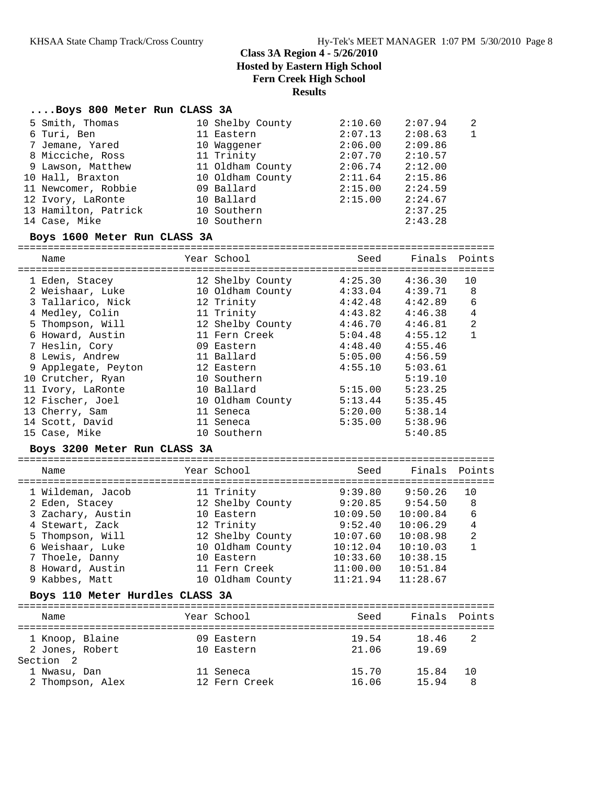# **....Boys 800 Meter Run CLASS 3A**

| 5 Smith, Thomas<br>6 Turi, Ben<br>7 Jemane, Yared<br>8 Micciche, Ross<br>9 Lawson, Matthew<br>10 Hall, Braxton<br>11 Newcomer, Robbie<br>12 Ivory, LaRonte<br>13 Hamilton, Patrick<br>14 Case, Mike<br>Boys 1600 Meter Run CLASS 3A                                                                                                | 10 Shelby County<br>11 Eastern<br>10 Waggener<br>11 Trinity<br>11 Oldham County<br>10 Oldham County<br>09 Ballard<br>10 Ballard<br>10 Southern<br>10 Southern                                                                             | 2:10.60<br>2:07.13<br>2:06.00<br>2:07.70<br>2:06.74<br>2:11.64<br>2:15.00<br>2:15.00                                                        | 2:07.94<br>2:08.63<br>2:09.86<br>2:10.57<br>2:12.00<br>2:15.86<br>2:24.59<br>2:24.67<br>2:37.25<br>2:43.28                                                        | 2<br>$\mathbf{1}$                                                |
|------------------------------------------------------------------------------------------------------------------------------------------------------------------------------------------------------------------------------------------------------------------------------------------------------------------------------------|-------------------------------------------------------------------------------------------------------------------------------------------------------------------------------------------------------------------------------------------|---------------------------------------------------------------------------------------------------------------------------------------------|-------------------------------------------------------------------------------------------------------------------------------------------------------------------|------------------------------------------------------------------|
| Name                                                                                                                                                                                                                                                                                                                               | Year School                                                                                                                                                                                                                               | Seed                                                                                                                                        | Finals                                                                                                                                                            | Points                                                           |
| 1 Eden, Stacey<br>2 Weishaar, Luke<br>3 Tallarico, Nick<br>4 Medley, Colin<br>5 Thompson, Will<br>6 Howard, Austin<br>7 Heslin, Cory<br>8 Lewis, Andrew<br>9 Applegate, Peyton<br>10 Crutcher, Ryan<br>11 Ivory, LaRonte<br>12 Fischer, Joel<br>13 Cherry, Sam<br>14 Scott, David<br>15 Case, Mike<br>Boys 3200 Meter Run CLASS 3A | 12 Shelby County<br>10 Oldham County<br>12 Trinity<br>11 Trinity<br>12 Shelby County<br>11 Fern Creek<br>09 Eastern<br>11 Ballard<br>12 Eastern<br>10 Southern<br>10 Ballard<br>10 Oldham County<br>11 Seneca<br>11 Seneca<br>10 Southern | 4:25.30<br>4:33.04<br>4:42.48<br>4:43.82<br>4:46.70<br>5:04.48<br>4:48.40<br>5:05.00<br>4:55.10<br>5:15.00<br>5:13.44<br>5:20.00<br>5:35.00 | 4:36.30<br>4:39.71<br>4:42.89<br>4:46.38<br>4:46.81<br>4:55.12<br>4:55.46<br>4:56.59<br>5:03.61<br>5:19.10<br>5:23.25<br>5:35.45<br>5:38.14<br>5:38.96<br>5:40.85 | 10<br>8<br>6<br>$\overline{4}$<br>$\overline{a}$<br>$\mathbf{1}$ |
| Name                                                                                                                                                                                                                                                                                                                               | Year School                                                                                                                                                                                                                               | Seed                                                                                                                                        | Finals                                                                                                                                                            | Points                                                           |
| 1 Wildeman, Jacob                                                                                                                                                                                                                                                                                                                  | 11 Trinity                                                                                                                                                                                                                                | 9:39.80                                                                                                                                     | 9:50.26                                                                                                                                                           | 10                                                               |
| 2 Eden, Stacey                                                                                                                                                                                                                                                                                                                     | 12 Shelby County                                                                                                                                                                                                                          |                                                                                                                                             | $9:20.85$ $9:54.50$                                                                                                                                               | 8                                                                |
| 3 Zachary, Austin                                                                                                                                                                                                                                                                                                                  | 10 Eastern                                                                                                                                                                                                                                | 10:09.50                                                                                                                                    | 10:00.84                                                                                                                                                          | 6                                                                |
| 4 Stewart, Zack                                                                                                                                                                                                                                                                                                                    | 12 Trinity                                                                                                                                                                                                                                | 9:52.40                                                                                                                                     | 10:06.29                                                                                                                                                          | $\overline{4}$                                                   |
| 5 Thompson, Will                                                                                                                                                                                                                                                                                                                   | 12 Shelby County                                                                                                                                                                                                                          | 10:07.60                                                                                                                                    | 10:08.98                                                                                                                                                          | $\overline{a}$                                                   |
| 6 Weishaar, Luke                                                                                                                                                                                                                                                                                                                   | 10 Oldham County                                                                                                                                                                                                                          | 10:12.04                                                                                                                                    | 10:10.03                                                                                                                                                          | $\mathbf{1}$                                                     |
| 7 Thoele, Danny                                                                                                                                                                                                                                                                                                                    | 10 Eastern                                                                                                                                                                                                                                | 10:33.60                                                                                                                                    | 10:38.15                                                                                                                                                          |                                                                  |
| 8 Howard, Austin                                                                                                                                                                                                                                                                                                                   | 11 Fern Creek                                                                                                                                                                                                                             | 11:00.00                                                                                                                                    | 10:51.84                                                                                                                                                          |                                                                  |
| 9 Kabbes, Matt<br>Boys 110 Meter Hurdles CLASS 3A                                                                                                                                                                                                                                                                                  | 10 Oldham County                                                                                                                                                                                                                          | 11:21.94                                                                                                                                    | 11:28.67                                                                                                                                                          |                                                                  |
|                                                                                                                                                                                                                                                                                                                                    |                                                                                                                                                                                                                                           |                                                                                                                                             |                                                                                                                                                                   |                                                                  |
| Name                                                                                                                                                                                                                                                                                                                               | Year School                                                                                                                                                                                                                               | Seed                                                                                                                                        | Finals                                                                                                                                                            | Points                                                           |
| 1 Knoop, Blaine<br>2 Jones, Robert<br>Section 2                                                                                                                                                                                                                                                                                    | 09 Eastern<br>10 Eastern                                                                                                                                                                                                                  | 19.54<br>21.06                                                                                                                              | 18.46<br>19.69                                                                                                                                                    | 2                                                                |
| 1 Nwasu, Dan                                                                                                                                                                                                                                                                                                                       | 11 Seneca                                                                                                                                                                                                                                 | 15.70                                                                                                                                       | 15.84                                                                                                                                                             | 10                                                               |
| 2 Thompson, Alex                                                                                                                                                                                                                                                                                                                   | 12 Fern Creek                                                                                                                                                                                                                             | 16.06                                                                                                                                       | 15.94                                                                                                                                                             | 8                                                                |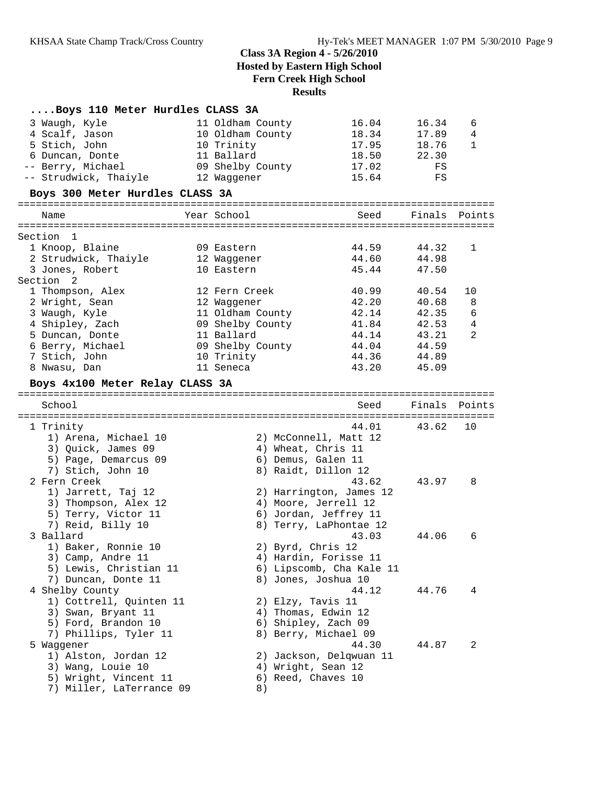| Boys 110 Meter Hurdles CLASS 3A                   |                    |                          |        |        |
|---------------------------------------------------|--------------------|--------------------------|--------|--------|
| 3 Waugh, Kyle                                     | 11 Oldham County   | 16.04                    | 16.34  | 6      |
| 4 Scalf, Jason                                    | 10 Oldham County   | 18.34                    | 17.89  | 4      |
| 5 Stich, John                                     | 10 Trinity         | 17.95                    | 18.76  | 1      |
| 6 Duncan, Donte                                   | 11 Ballard         | 18.50                    | 22.30  |        |
| -- Berry, Michael                                 | 09 Shelby County   | 17.02                    | FS     |        |
| -- Strudwick, Thaiyle                             | 12 Waqqener        | 15.64                    | FS     |        |
| Boys 300 Meter Hurdles CLASS 3A                   |                    |                          |        |        |
| Name                                              | Year School        | Seed                     | Finals | Points |
|                                                   |                    |                          |        |        |
| Section 1<br>1 Knoop, Blaine                      | 09 Eastern         | 44.59                    | 44.32  | 1      |
| 2 Strudwick, Thaiyle                              | 12 Waggener        | 44.60                    | 44.98  |        |
| 3 Jones, Robert                                   | 10 Eastern         | 45.44                    | 47.50  |        |
| Section 2                                         |                    |                          |        |        |
| 1 Thompson, Alex                                  | 12 Fern Creek      | 40.99                    | 40.54  | 10     |
| 2 Wright, Sean                                    | 12 Waqqener        | 42.20                    | 40.68  | 8      |
| 3 Waugh, Kyle                                     | 11 Oldham County   | 42.14                    | 42.35  | 6      |
| 4 Shipley, Zach                                   | 09 Shelby County   | 41.84                    | 42.53  | 4      |
| 5 Duncan, Donte                                   | 11 Ballard         | 44.14                    | 43.21  | 2      |
| 6 Berry, Michael                                  | 09 Shelby County   | 44.04                    | 44.59  |        |
| 7 Stich, John                                     | 10 Trinity         | 44.36                    | 44.89  |        |
| 8 Nwasu, Dan                                      | 11 Seneca          | 43.20                    | 45.09  |        |
| Boys 4x100 Meter Relay CLASS 3A                   |                    |                          |        |        |
|                                                   |                    |                          |        |        |
| School                                            |                    | Seed                     | Finals | Points |
| 1 Trinity                                         |                    | 44.01                    | 43.62  | 10     |
| 1) Arena, Michael 10                              |                    | 2) McConnell, Matt 12    |        |        |
| 3) Quick, James 09                                | 4) Wheat, Chris 11 |                          |        |        |
| 5) Page, Demarcus 09                              | 6) Demus, Galen 11 |                          |        |        |
| 7) Stich, John 10                                 |                    | 8) Raidt, Dillon 12      |        |        |
| 2 Fern Creek                                      |                    | 43.62                    | 43.97  | 8      |
| 1) Jarrett, Taj 12                                |                    | 2) Harrington, James 12  |        |        |
| 3) Thompson, Alex 12                              |                    | 4) Moore, Jerrell 12     |        |        |
| 5) Terry, Victor 11                               |                    | 6) Jordan, Jeffrey 11    |        |        |
| 7) Reid, Billy 10                                 |                    | 8) Terry, LaPhontae 12   |        |        |
| 3 Ballard                                         |                    | 43.03                    | 44.06  | 6      |
| 1) Baker, Ronnie 10                               | 2) Byrd, Chris 12  |                          |        |        |
| 3) Camp, Andre 11                                 |                    | 4) Hardin, Forisse 11    |        |        |
| 5) Lewis, Christian 11                            |                    | 6) Lipscomb, Cha Kale 11 |        |        |
| 7) Duncan, Donte 11                               |                    | 8) Jones, Joshua 10      |        |        |
| 4 Shelby County                                   |                    | 44.12                    | 44.76  | 4      |
| 1) Cottrell, Quinten 11                           | 2) Elzy, Tavis 11  |                          |        |        |
| 3) Swan, Bryant 11                                |                    | 4) Thomas, Edwin 12      |        |        |
| 5) Ford, Brandon 10                               |                    | 6) Shipley, Zach 09      |        |        |
| 7) Phillips, Tyler 11                             |                    | 8) Berry, Michael 09     |        |        |
| 5 Waqqener                                        |                    | 44.30                    | 44.87  | 2      |
| 1) Alston, Jordan 12                              |                    | 2) Jackson, Delqwuan 11  |        |        |
| 3) Wang, Louie 10                                 | 4) Wright, Sean 12 |                          |        |        |
| 5) Wright, Vincent 11<br>7) Miller, LaTerrance 09 | 6) Reed, Chaves 10 |                          |        |        |
|                                                   | 8)                 |                          |        |        |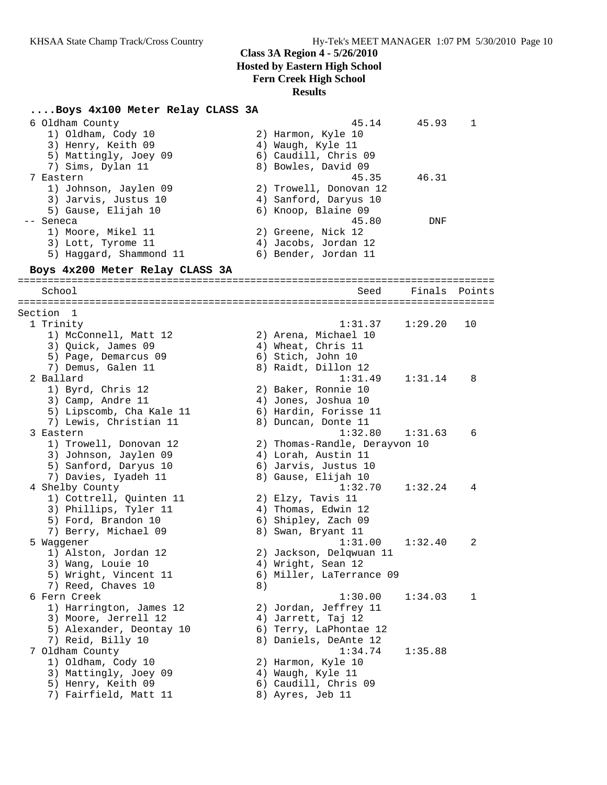# **....Boys 4x100 Meter Relay CLASS 3A**

| 6 Oldham County<br>1) Oldham, Cody 10<br>3) Henry, Keith 09<br>5) Mattingly, Joey 09<br>7) Sims, Dylan 11<br>7 Eastern<br>1) Johnson, Jaylen 09<br>3) Jarvis, Justus 10 |    | 45.14<br>2) Harmon, Kyle 10<br>4) Waugh, Kyle 11<br>6) Caudill, Chris 09<br>8) Bowles, David 09<br>45.35<br>2) Trowell, Donovan 12<br>4) Sanford, Daryus 10 | 45.93<br>46.31 | 1      |
|-------------------------------------------------------------------------------------------------------------------------------------------------------------------------|----|-------------------------------------------------------------------------------------------------------------------------------------------------------------|----------------|--------|
| 5) Gause, Elijah 10<br>-- Seneca<br>1) Moore, Mikel 11<br>3) Lott, Tyrome 11<br>5) Haggard, Shammond 11                                                                 |    | 6) Knoop, Blaine 09<br>45.80<br>2) Greene, Nick 12<br>4) Jacobs, Jordan 12<br>6) Bender, Jordan 11                                                          | DNF            |        |
| Boys 4x200 Meter Relay CLASS 3A                                                                                                                                         |    |                                                                                                                                                             |                |        |
| School                                                                                                                                                                  |    | Seed                                                                                                                                                        | Finals         | Points |
| Section 1                                                                                                                                                               |    |                                                                                                                                                             |                |        |
| 1 Trinity<br>1) McConnell, Matt 12<br>3) Quick, James 09<br>5) Page, Demarcus 09<br>7) Demus, Galen 11                                                                  |    | 1:31.37<br>2) Arena, Michael 10<br>4) Wheat, Chris 11<br>6) Stich, John 10<br>8) Raidt, Dillon 12                                                           | 1:29.20        | 10     |
| 2 Ballard<br>1) Byrd, Chris 12<br>3) Camp, Andre 11<br>5) Lipscomb, Cha Kale 11<br>7) Lewis, Christian 11                                                               |    | 1:31.49<br>2) Baker, Ronnie 10<br>4) Jones, Joshua 10<br>6) Hardin, Forisse 11<br>8) Duncan, Donte 11                                                       | 1:31.14        | 8      |
| 3 Eastern<br>1) Trowell, Donovan 12<br>3) Johnson, Jaylen 09<br>5) Sanford, Daryus 10<br>7) Davies, Iyadeh 11                                                           |    | 1:32.80<br>2) Thomas-Randle, Derayvon 10<br>4) Lorah, Austin 11<br>6) Jarvis, Justus 10<br>8) Gause, Elijah 10                                              | 1:31.63        | 6      |
| 4 Shelby County<br>1) Cottrell, Quinten 11<br>3) Phillips, Tyler 11<br>5) Ford, Brandon 10<br>7) Berry, Michael 09                                                      |    | 1:32.70<br>2) Elzy, Tavis 11<br>4) Thomas, Edwin 12<br>6) Shipley, Zach 09<br>8) Swan, Bryant 11                                                            | 1:32.24        | 4      |
| 5 Waggener<br>1) Alston, Jordan 12<br>3) Wang, Louie 10<br>5) Wright, Vincent 11<br>7) Reed, Chaves 10                                                                  | 8) | 1:31.00<br>2) Jackson, Delqwuan 11<br>4) Wright, Sean 12<br>6) Miller, LaTerrance 09                                                                        | 1:32.40        | 2      |
| 6 Fern Creek<br>1) Harrington, James 12<br>3) Moore, Jerrell 12<br>5) Alexander, Deontay 10<br>7) Reid, Billy 10                                                        |    | 1:30.00<br>2) Jordan, Jeffrey 11<br>4) Jarrett, Taj 12<br>6) Terry, LaPhontae 12<br>8) Daniels, DeAnte 12                                                   | 1:34.03        | 1      |
| 7 Oldham County<br>1) Oldham, Cody 10<br>3) Mattingly, Joey 09<br>5) Henry, Keith 09<br>7) Fairfield, Matt 11                                                           |    | 1:34.74<br>2) Harmon, Kyle 10<br>4) Waugh, Kyle 11<br>6) Caudill, Chris 09<br>8) Ayres, Jeb 11                                                              | 1:35.88        |        |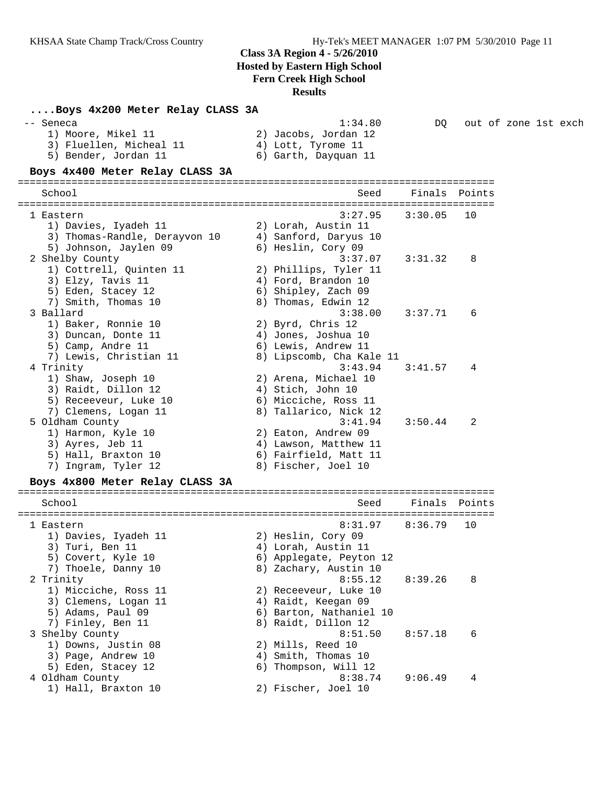| Boys 4x200 Meter Relay CLASS 3A                                                    |                                                                               |         |                      |  |  |
|------------------------------------------------------------------------------------|-------------------------------------------------------------------------------|---------|----------------------|--|--|
| -- Seneca<br>1) Moore, Mikel 11<br>3) Fluellen, Micheal 11<br>5) Bender, Jordan 11 | 1:34.80<br>2) Jacobs, Jordan 12<br>4) Lott, Tyrome 11<br>6) Garth, Dayquan 11 | DO      | out of zone 1st exch |  |  |
| Boys 4x400 Meter Relay CLASS 3A                                                    |                                                                               |         |                      |  |  |
| School                                                                             | Seed                                                                          |         | Finals Points        |  |  |
| 1 Eastern                                                                          | 3:27.95                                                                       | 3:30.05 | 10                   |  |  |
| 1) Davies, Iyadeh 11                                                               | 2) Lorah, Austin 11                                                           |         |                      |  |  |
| 3) Thomas-Randle, Derayvon 10                                                      | 4) Sanford, Daryus 10                                                         |         |                      |  |  |
| 5) Johnson, Jaylen 09                                                              | 6) Heslin, Cory 09<br>3:37.07                                                 | 3:31.32 | 8                    |  |  |
| 2 Shelby County<br>1) Cottrell, Quinten 11                                         | 2) Phillips, Tyler 11                                                         |         |                      |  |  |
| 3) Elzy, Tavis 11                                                                  | 4) Ford, Brandon 10                                                           |         |                      |  |  |
| 5) Eden, Stacey 12                                                                 | 6) Shipley, Zach 09                                                           |         |                      |  |  |
| 7) Smith, Thomas 10                                                                | 8) Thomas, Edwin 12                                                           |         |                      |  |  |
| 3 Ballard                                                                          | 3:38.00                                                                       | 3:37.71 | 6                    |  |  |
| 1) Baker, Ronnie 10                                                                | 2) Byrd, Chris 12                                                             |         |                      |  |  |
| 3) Duncan, Donte 11                                                                | 4) Jones, Joshua 10                                                           |         |                      |  |  |
| 5) Camp, Andre 11                                                                  | 6) Lewis, Andrew 11                                                           |         |                      |  |  |
| 7) Lewis, Christian 11                                                             | 8) Lipscomb, Cha Kale 11                                                      |         |                      |  |  |
| 4 Trinity                                                                          | 3:43.94                                                                       | 3:41.57 | 4                    |  |  |
| 1) Shaw, Joseph 10<br>3) Raidt, Dillon 12                                          | 2) Arena, Michael 10<br>4) Stich, John 10                                     |         |                      |  |  |
| 5) Receeveur, Luke 10                                                              | 6) Micciche, Ross 11                                                          |         |                      |  |  |
| 7) Clemens, Logan 11                                                               | 8) Tallarico, Nick 12                                                         |         |                      |  |  |
| 5 Oldham County                                                                    | 3:41.94                                                                       | 3:50.44 | 2                    |  |  |
| 1) Harmon, Kyle 10                                                                 | 2) Eaton, Andrew 09                                                           |         |                      |  |  |
| 3) Ayres, Jeb 11                                                                   | 4) Lawson, Matthew 11                                                         |         |                      |  |  |
| 5) Hall, Braxton 10                                                                | 6) Fairfield, Matt 11                                                         |         |                      |  |  |
| 7) Ingram, Tyler 12                                                                | 8) Fischer, Joel 10                                                           |         |                      |  |  |
| Boys 4x800 Meter Relay CLASS 3A                                                    |                                                                               |         |                      |  |  |
| School                                                                             | Seed                                                                          |         | Finals Points        |  |  |
|                                                                                    |                                                                               |         |                      |  |  |
| 1 Eastern                                                                          | 8:31.97                                                                       | 8:36.79 | 10                   |  |  |
| 1) Davies, Iyadeh 11<br>3) Turi, Ben 11                                            | 2) Heslin, Cory 09<br>4) Lorah, Austin 11                                     |         |                      |  |  |
| 5) Covert, Kyle 10                                                                 | 6) Applegate, Peyton 12                                                       |         |                      |  |  |
| 7) Thoele, Danny 10                                                                | 8) Zachary, Austin 10                                                         |         |                      |  |  |
| 2 Trinity                                                                          | 8:55.12                                                                       | 8:39.26 | 8                    |  |  |
| 1) Micciche, Ross 11                                                               | 2) Receeveur, Luke 10                                                         |         |                      |  |  |
| 3) Clemens, Logan 11                                                               | 4) Raidt, Keegan 09                                                           |         |                      |  |  |
| 5) Adams, Paul 09                                                                  | 6) Barton, Nathaniel 10                                                       |         |                      |  |  |
| 7) Finley, Ben 11                                                                  | 8) Raidt, Dillon 12                                                           |         |                      |  |  |
| 3 Shelby County                                                                    | 8:51.50                                                                       | 8:57.18 | 6                    |  |  |
| 1) Downs, Justin 08                                                                | 2) Mills, Reed 10                                                             |         |                      |  |  |
| 3) Page, Andrew 10                                                                 | 4) Smith, Thomas 10                                                           |         |                      |  |  |
| 5) Eden, Stacey 12                                                                 | 6) Thompson, Will 12                                                          |         |                      |  |  |
| 4 Oldham County<br>1) Hall, Braxton 10                                             | 8:38.74<br>2) Fischer, Joel 10                                                | 9:06.49 | 4                    |  |  |
|                                                                                    |                                                                               |         |                      |  |  |